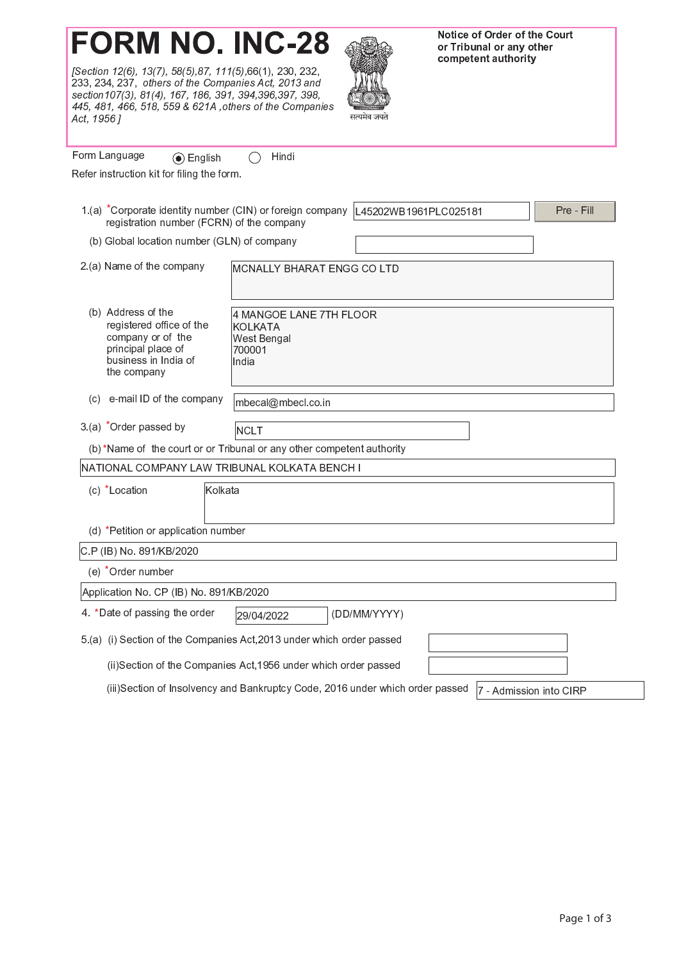## **FORM NO. INC-28**

[Section 12(6), 13(7), 58(5), 87, 111(5), 66(1), 230, 232, 233, 234, 237, others of the Companies Act, 2013 and<br>section107(3), 81(4), 167, 186, 391, 394, 396, 397, 398, 445, 481, 466, 518, 559 & 621A , others of the Companies Act, 1956 ]



Notice of Order of the Court or Tribunal or any other competent authority

| Form Language<br>$\odot$ English                                                                                                 | Hindi                                                                       |                       |            |  |  |
|----------------------------------------------------------------------------------------------------------------------------------|-----------------------------------------------------------------------------|-----------------------|------------|--|--|
| Refer instruction kit for filing the form.                                                                                       |                                                                             |                       |            |  |  |
| 1.(a) *Corporate identity number (CIN) or foreign company<br>registration number (FCRN) of the company                           |                                                                             | L45202WB1961PLC025181 | Pre - Fill |  |  |
| (b) Global location number (GLN) of company                                                                                      |                                                                             |                       |            |  |  |
| 2.(a) Name of the company                                                                                                        | MCNALLY BHARAT ENGG CO LTD                                                  |                       |            |  |  |
| (b) Address of the<br>registered office of the<br>company or of the<br>principal place of<br>business in India of<br>the company | 4 MANGOE LANE 7TH FLOOR<br><b>KOLKATA</b><br>West Bengal<br>700001<br>India |                       |            |  |  |
| e-mail ID of the company<br>(C)                                                                                                  | mbecal@mbecl.co.in                                                          |                       |            |  |  |
| 3 (a) *Order passed by                                                                                                           | NCLT                                                                        |                       |            |  |  |
| (b) *Name of the court or or Tribunal or any other competent authority                                                           |                                                                             |                       |            |  |  |
| NATIONAL COMPANY LAW TRIBUNAL KOLKATA BENCH I                                                                                    |                                                                             |                       |            |  |  |
| (c) *Location<br>Kolkata                                                                                                         |                                                                             |                       |            |  |  |
| (d) *Petition or application number                                                                                              |                                                                             |                       |            |  |  |
| C.P (IB) No. 891/KB/2020                                                                                                         |                                                                             |                       |            |  |  |
| (e) *Order number                                                                                                                |                                                                             |                       |            |  |  |
| Application No. CP (IB) No. 891/KB/2020                                                                                          |                                                                             |                       |            |  |  |
| 4. * Date of passing the order<br>(DD/MM/YYYY)<br>29/04/2022                                                                     |                                                                             |                       |            |  |  |
| 5.(a) (i) Section of the Companies Act, 2013 under which order passed                                                            |                                                                             |                       |            |  |  |
| (ii)Section of the Companies Act, 1956 under which order passed                                                                  |                                                                             |                       |            |  |  |
|                                                                                                                                  |                                                                             |                       |            |  |  |

(iii)Section of Insolvency and Bankruptcy Code, 2016 under which order passed |7 - Admission into CIRP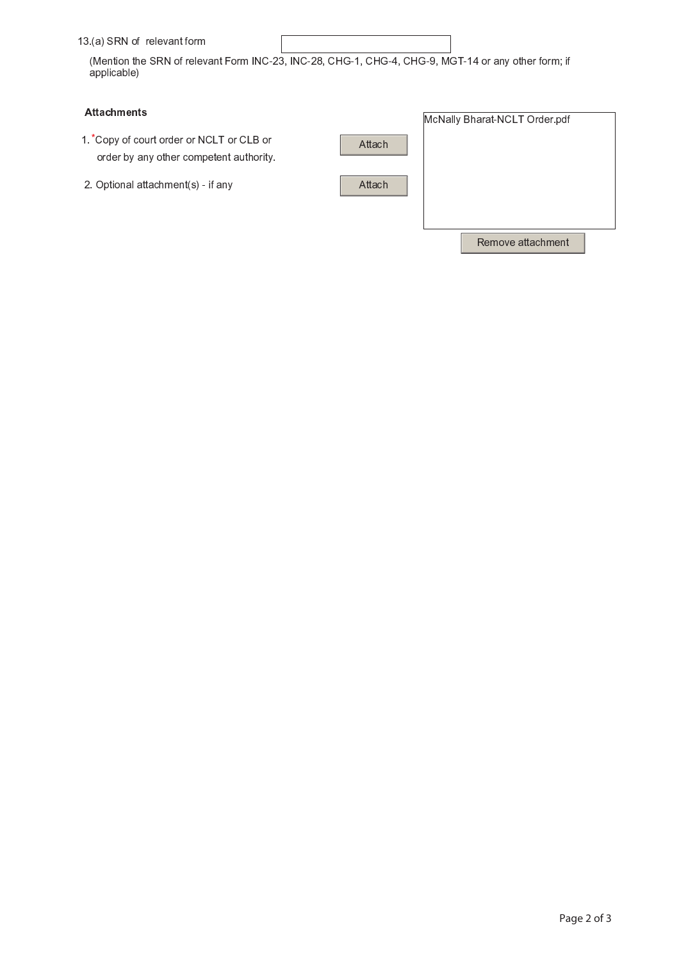13.(a) SRN of relevant form

(Mention the SRN of relevant Form INC-23, INC-28, CHG-1, CHG-4, CHG-9, MGT-14 or any other form; if applicable)

## **Attachments**

- 1. Copy of court order or NCLT or CLB or order by any other competent authority.
- 2. Optional attachment(s) if any

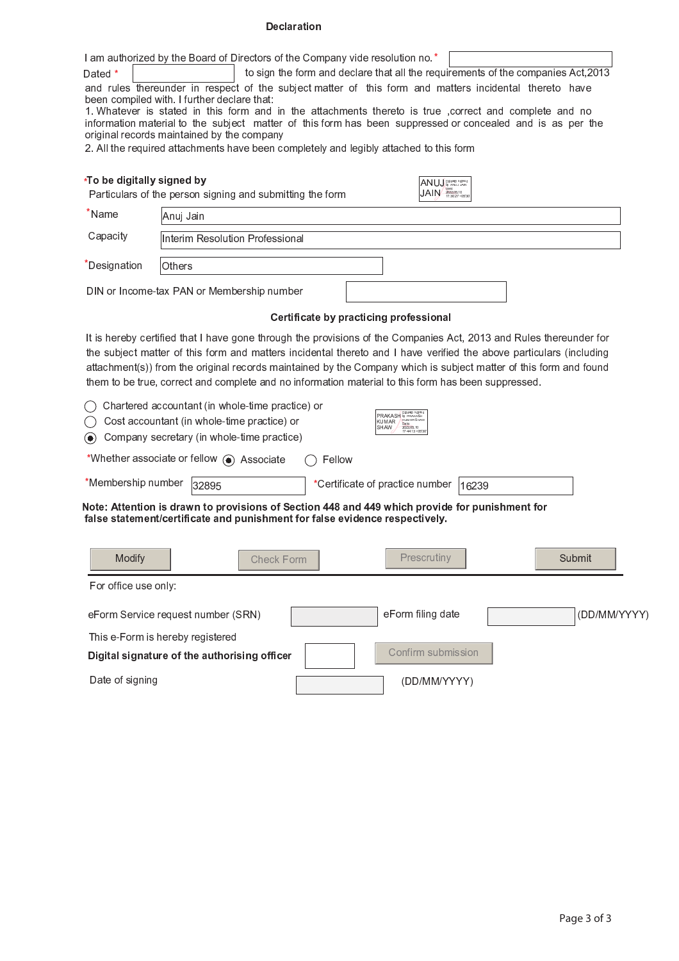## **Declaration**

|                            | I am authorized by the Board of Directors of the Company vide resolution no.*                                                                           |  |  |  |  |
|----------------------------|---------------------------------------------------------------------------------------------------------------------------------------------------------|--|--|--|--|
| Dated *                    | to sign the form and declare that all the requirements of the companies Act, 2013                                                                       |  |  |  |  |
|                            | and rules thereunder in respect of the subject matter of this form and matters incidental thereto have                                                  |  |  |  |  |
|                            | been compiled with. I further declare that:<br>1. Whatever is stated in this form and in the attachments thereto is true , correct and complete and no  |  |  |  |  |
|                            | information material to the subject matter of this form has been suppressed or concealed and is as per the                                              |  |  |  |  |
|                            | original records maintained by the company                                                                                                              |  |  |  |  |
|                            | 2. All the required attachments have been completely and legibly attached to this form                                                                  |  |  |  |  |
|                            |                                                                                                                                                         |  |  |  |  |
| *To be digitally signed by | ANUJ DREAM Signed                                                                                                                                       |  |  |  |  |
|                            | JAIN 2022-06-10<br>Particulars of the person signing and submitting the form                                                                            |  |  |  |  |
| *Name                      | Anuj Jain                                                                                                                                               |  |  |  |  |
| Capacity                   | Interim Resolution Professional                                                                                                                         |  |  |  |  |
|                            |                                                                                                                                                         |  |  |  |  |
| <i>Designation</i>         | Others                                                                                                                                                  |  |  |  |  |
|                            |                                                                                                                                                         |  |  |  |  |
|                            | DIN or Income-tax PAN or Membership number                                                                                                              |  |  |  |  |
|                            | Certificate by practicing professional                                                                                                                  |  |  |  |  |
|                            | It is hereby certified that I have gone through the provisions of the Companies Act, 2013 and Rules thereunder for                                      |  |  |  |  |
|                            | the subject matter of this form and matters incidental thereto and I have verified the above particulars (including                                     |  |  |  |  |
|                            | attachment(s)) from the original records maintained by the Company which is subject matter of this form and found                                       |  |  |  |  |
|                            | them to be true, correct and complete and no information material to this form has been suppressed.                                                     |  |  |  |  |
|                            |                                                                                                                                                         |  |  |  |  |
|                            | Chartered accountant (in whole-time practice) or                                                                                                        |  |  |  |  |
|                            | PRAKASH by PRAKASH<br>KUMAR AUMARSHAW<br>SHAW -2022:06:10<br>HAW -2022:06:10<br>17:44:13 +05'30<br>Cost accountant (in whole-time practice) or<br>KUMAR |  |  |  |  |
| $\left( \bullet \right)$   | Company secretary (in whole-time practice)                                                                                                              |  |  |  |  |
|                            | *Whether associate or fellow (a) Associate<br>Fellow                                                                                                    |  |  |  |  |
|                            |                                                                                                                                                         |  |  |  |  |
| *Membership number         | *Certificate of practice number<br>32895<br>16239                                                                                                       |  |  |  |  |
|                            | Note: Attention is drawn to provisions of Section 448 and 449 which provide for punishment for                                                          |  |  |  |  |
|                            | false statement/certificate and punishment for false evidence respectively.                                                                             |  |  |  |  |
|                            |                                                                                                                                                         |  |  |  |  |
| Modify                     | Submit<br>Prescrutiny<br>Check Form                                                                                                                     |  |  |  |  |
| For office use only:       |                                                                                                                                                         |  |  |  |  |
|                            |                                                                                                                                                         |  |  |  |  |
|                            | eForm filing date<br>(DD/MM/YYYY)<br>eForm Service request number (SRN)                                                                                 |  |  |  |  |
|                            | This e-Form is hereby registered                                                                                                                        |  |  |  |  |
|                            | Confirm submission<br>Digital signature of the authorising officer                                                                                      |  |  |  |  |
| Date of signing            | (DD/MM/YYYY)                                                                                                                                            |  |  |  |  |
|                            |                                                                                                                                                         |  |  |  |  |